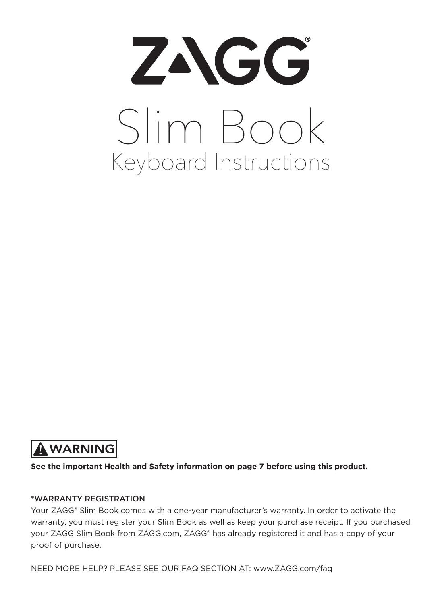



**See the important Health and Safety information on page 7 before using this product.**

#### \*WARRANTY REGISTRATION

Your ZAGG® Slim Book comes with a one-year manufacturer's warranty. In order to activate the warranty, you must register your Slim Book as well as keep your purchase receipt. If you purchased your ZAGG Slim Book from ZAGG.com, ZAGG® has already registered it and has a copy of your proof of purchase.

NEED MORE HELP? PLEASE SEE OUR FAQ SECTION AT: www.ZAGG.com/faq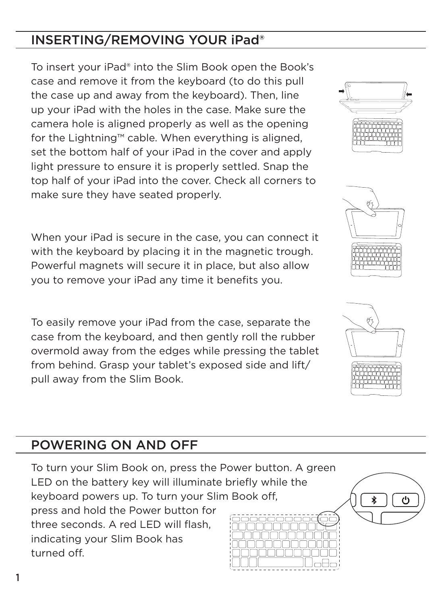#### INSERTING/REMOVING YOUR iPad®

To insert your iPad® into the Slim Book open the Book's case and remove it from the keyboard (to do this pull the case up and away from the keyboard). Then, line up your iPad with the holes in the case. Make sure the camera hole is aligned properly as well as the opening for the Lightning™ cable. When everything is aligned, set the bottom half of your iPad in the cover and apply light pressure to ensure it is properly settled. Snap the top half of your iPad into the cover. Check all corners to make sure they have seated properly.

When your iPad is secure in the case, you can connect it with the keyboard by placing it in the magnetic trough. Powerful magnets will secure it in place, but also allow you to remove your iPad any time it benefits you.

To easily remove your iPad from the case, separate the case from the keyboard, and then gently roll the rubber overmold away from the edges while pressing the tablet from behind. Grasp your tablet's exposed side and lift/ pull away from the Slim Book.

#### POWERING ON AND OFF

To turn your Slim Book on, press the Power button. A green LED on the battery key will illuminate briefly while the keyboard powers up. To turn your Slim Book off, press and hold the Power button for three seconds. A red LED will flash, indicating your Slim Book has turned off.







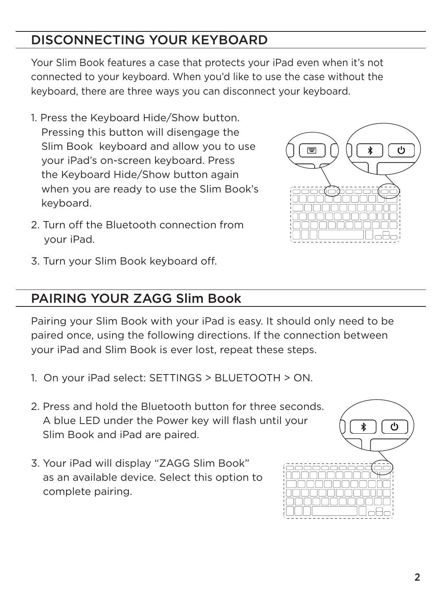## DISCONNECTING YOUR KEYBOARD

Your Slim Book features a case that protects your iPad even when it's not connected to your keyboard. When you'd like to use the case without the keyboard, there are three ways you can disconnect your keyboard.

- 1. Press the Keyboard Hide/Show button. Pressing this button will disengage the Slim Book keyboard and allow you to use your iPad's on-screen keyboard. Press the Keyboard Hide/Show button again when you are ready to use the Slim Book's keyboard.
- 2. Turn off the Bluetooth connection from your iPad.



3. Turn your Slim Book keyboard off.

#### PAIRING YOUR ZAGG Slim Book

Pairing your Slim Book with your iPad is easy. It should only need to be paired once, using the following directions. If the connection between your iPad and Slim Book is ever lost, repeat these steps.

- 1. On your iPad select: SETTINGS > BLUETOOTH > ON.
- 2. Press and hold the Bluetooth button for three seconds. A blue LED under the Power key will flash until your Slim Book and iPad are paired.
- 3. Your iPad will display "ZAGG Slim Book" as an available device. Select this option to complete pairing.

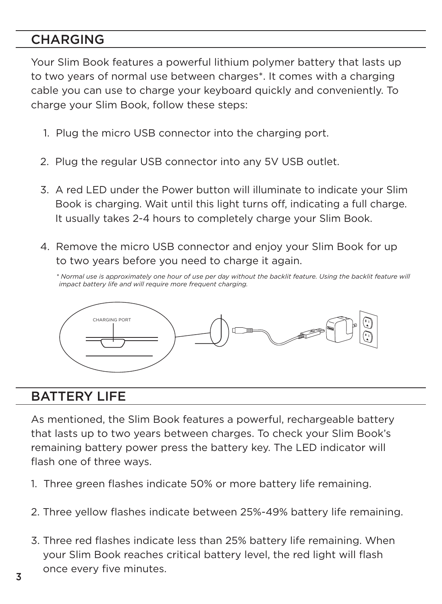#### **CHARGING**

Your Slim Book features a powerful lithium polymer battery that lasts up to two years of normal use between charges\*. It comes with a charging cable you can use to charge your keyboard quickly and conveniently. To charge your Slim Book, follow these steps:

- 1. Plug the micro USB connector into the charging port.
- 2. Plug the regular USB connector into any 5V USB outlet.
- 3. A red LED under the Power button will illuminate to indicate your Slim Book is charging. Wait until this light turns off, indicating a full charge. It usually takes 2-4 hours to completely charge your Slim Book.
- 4. Remove the micro USB connector and enjoy your Slim Book for up to two years before you need to charge it again.

 *\* Normal use is approximately one hour of use per day without the backlit feature. Using the backlit feature will impact battery life and will require more frequent charging.*



#### BATTERY LIFE

As mentioned, the Slim Book features a powerful, rechargeable battery that lasts up to two years between charges. To check your Slim Book's remaining battery power press the battery key. The LED indicator will flash one of three ways.

- 1. Three green flashes indicate 50% or more battery life remaining.
- 2. Three yellow flashes indicate between 25%-49% battery life remaining.
- 3. Three red flashes indicate less than 25% battery life remaining. When your Slim Book reaches critical battery level, the red light will flash once every five minutes.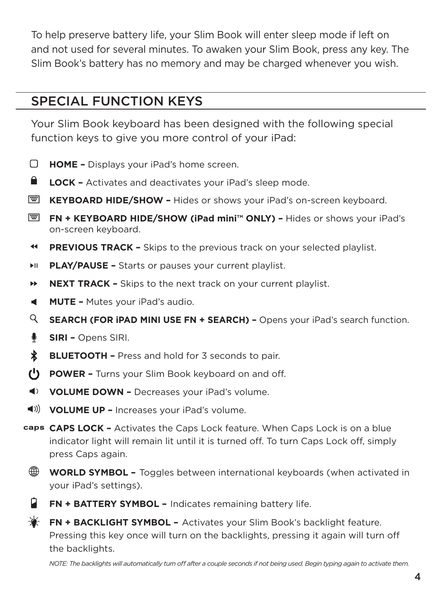To help preserve battery life, your Slim Book will enter sleep mode if left on and not used for several minutes. To awaken your Slim Book, press any key. The Slim Book's battery has no memory and may be charged whenever you wish.

#### SPECIAL FUNCTION KEYS

Your Slim Book keyboard has been designed with the following special function keys to give you more control of your iPad:

- $\Box$ **HOME –** Displays your iPad's home screen.
- $\bullet$ **LOCK –** Activates and deactivates your iPad's sleep mode.
- **EXEYBOARD HIDE/SHOW -** Hides or shows your iPad's on-screen keyboard.
- **FN + KEYBOARD HIDE/SHOW (iPad mini™ ONLY) –** Hides or shows your iPad's on-screen keyboard.
- $\blacktriangleleft$ **PREVIOUS TRACK –** Skips to the previous track on your selected playlist.
- **PLAY/PAUSE –** Starts or pauses your current playlist. ÞШ.
- ы **NEXT TRACK –** Skips to the next track on your current playlist.
- ₫. **MUTE –** Mutes your iPad's audio.
- Q **SEARCH (FOR iPAD MINI USE FN + SEARCH) –** Opens your iPad's search function.
- ۰ **SIRI –** Opens SIRI.
- $\ast$ **BLUETOOTH –** Press and hold for 3 seconds to pair.
- **POWER –** Turns your Slim Book keyboard on and off.
- $\blacktriangleleft$ **VOLUME DOWN –** Decreases your iPad's volume.
- **VOLUME UP –** Increases your iPad's volume.
- **CAPS LOCK** Activates the Caps Lock feature. When Caps Lock is on a blue indicator light will remain lit until it is turned off. To turn Caps Lock off, simply press Caps again.
	- **WORLD SYMBOL -** Toggles between international keyboards (when activated in your iPad's settings).
	- Ĥ. **FN + BATTERY SYMBOL –** Indicates remaining battery life.
	- **FR + BACKLIGHT SYMBOL –** Activates your Slim Book's backlight feature. Pressing this key once will turn on the backlights, pressing it again will turn off the backlights.

*NOTE: The backlights will automatically turn off after a couple seconds if not being used. Begin typing again to activate them.*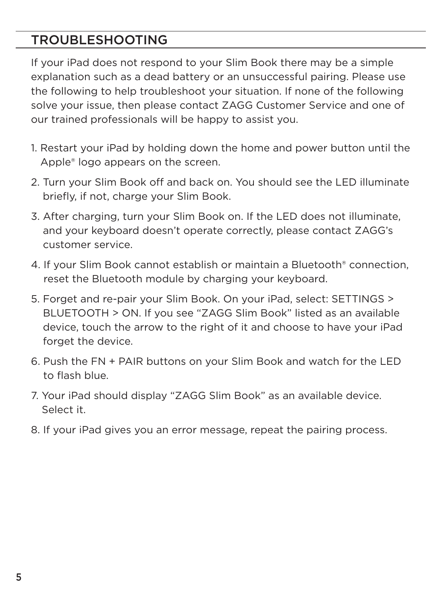#### TROUBLESHOOTING

If your iPad does not respond to your Slim Book there may be a simple explanation such as a dead battery or an unsuccessful pairing. Please use the following to help troubleshoot your situation. If none of the following solve your issue, then please contact ZAGG Customer Service and one of our trained professionals will be happy to assist you.

- 1. Restart your iPad by holding down the home and power button until the Apple® logo appears on the screen.
- 2. Turn your Slim Book off and back on. You should see the LED illuminate briefly, if not, charge your Slim Book.
- 3. After charging, turn your Slim Book on. If the LED does not illuminate, and your keyboard doesn't operate correctly, please contact ZAGG's customer service.
- 4. If your Slim Book cannot establish or maintain a Bluetooth® connection, reset the Bluetooth module by charging your keyboard.
- 5. Forget and re-pair your Slim Book. On your iPad, select: SETTINGS > BLUETOOTH > ON. If you see "ZAGG Slim Book" listed as an available device, touch the arrow to the right of it and choose to have your iPad forget the device.
- 6. Push the FN + PAIR buttons on your Slim Book and watch for the LED to flash blue.
- 7. Your iPad should display "ZAGG Slim Book" as an available device. Select it.
- 8. If your iPad gives you an error message, repeat the pairing process.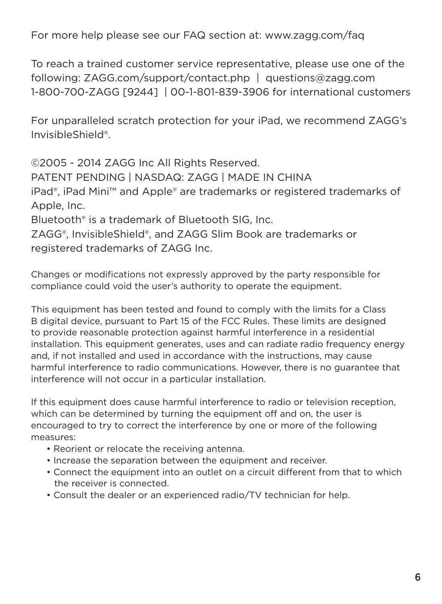For more help please see our FAQ section at: www.zagg.com/faq

To reach a trained customer service representative, please use one of the following: ZAGG.com/support/contact.php | questions@zagg.com 1-800-700-ZAGG [9244] | 00-1-801-839-3906 for international customers

For unparalleled scratch protection for your iPad, we recommend ZAGG's InvisibleShield®.

©2005 - 2014 ZAGG Inc All Rights Reserved. PATENT PENDING | NASDAQ: ZAGG | MADE IN CHINA iPad®, iPad Mini™ and Apple® are trademarks or registered trademarks of Apple, Inc. Bluetooth® is a trademark of Bluetooth SIG, Inc. ZAGG®, InvisibleShield®, and ZAGG Slim Book are trademarks or registered trademarks of ZAGG Inc.

Changes or modifications not expressly approved by the party responsible for compliance could void the user's authority to operate the equipment.

This equipment has been tested and found to comply with the limits for a Class B digital device, pursuant to Part 15 of the FCC Rules. These limits are designed to provide reasonable protection against harmful interference in a residential installation. This equipment generates, uses and can radiate radio frequency energy and, if not installed and used in accordance with the instructions, may cause harmful interference to radio communications. However, there is no guarantee that interference will not occur in a particular installation.

If this equipment does cause harmful interference to radio or television reception, which can be determined by turning the equipment off and on, the user is encouraged to try to correct the interference by one or more of the following measures:

- Reorient or relocate the receiving antenna.
- Increase the separation between the equipment and receiver.
- Connect the equipment into an outlet on a circuit different from that to which the receiver is connected.
- Consult the dealer or an experienced radio/TV technician for help.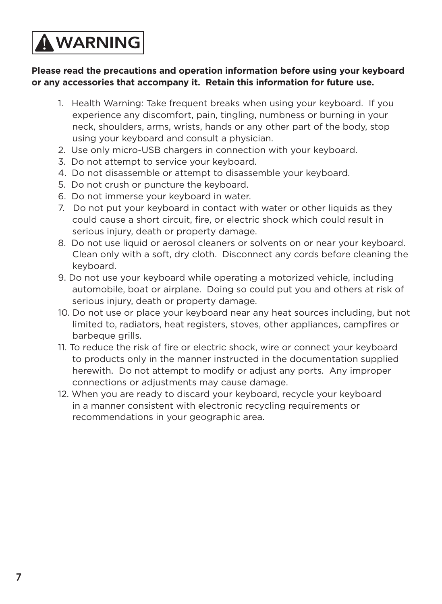# **AWARNING**

#### **Please read the precautions and operation information before using your keyboard or any accessories that accompany it. Retain this information for future use.**

- 1. Health Warning: Take frequent breaks when using your keyboard. If you experience any discomfort, pain, tingling, numbness or burning in your neck, shoulders, arms, wrists, hands or any other part of the body, stop using your keyboard and consult a physician.
- 2. Use only micro-USB chargers in connection with your keyboard.
- 3. Do not attempt to service your keyboard.
- 4. Do not disassemble or attempt to disassemble your keyboard.
- 5. Do not crush or puncture the keyboard.
- 6. Do not immerse your keyboard in water.
- 7. Do not put your keyboard in contact with water or other liquids as they could cause a short circuit, fire, or electric shock which could result in serious injury, death or property damage.
- 8. Do not use liquid or aerosol cleaners or solvents on or near your keyboard. Clean only with a soft, dry cloth. Disconnect any cords before cleaning the keyboard.
- 9. Do not use your keyboard while operating a motorized vehicle, including automobile, boat or airplane. Doing so could put you and others at risk of serious injury, death or property damage.
- 10. Do not use or place your keyboard near any heat sources including, but not limited to, radiators, heat registers, stoves, other appliances, campfires or barbeque grills.
- 11. To reduce the risk of fire or electric shock, wire or connect your keyboard to products only in the manner instructed in the documentation supplied herewith. Do not attempt to modify or adjust any ports. Any improper connections or adjustments may cause damage.
- 12. When you are ready to discard your keyboard, recycle your keyboard in a manner consistent with electronic recycling requirements or recommendations in your geographic area.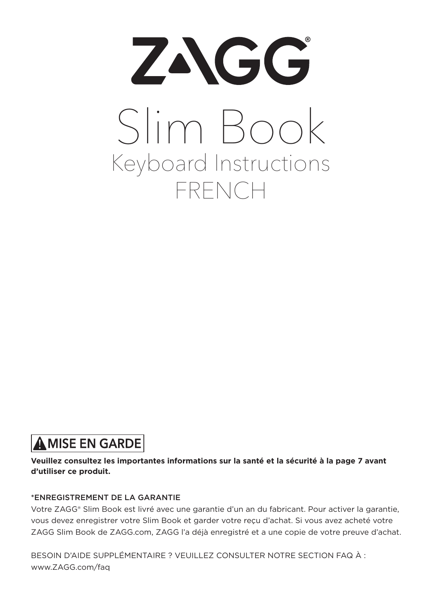

## **AMISE EN GARDE**

#### **Veuillez consultez les importantes informations sur la santé et la sécurité à la page 7 avant d'utiliser ce produit.**

#### \*ENREGISTREMENT DE LA GARANTIE

Votre ZAGG® Slim Book est livré avec une garantie d'un an du fabricant. Pour activer la garantie, vous devez enregistrer votre Slim Book et garder votre reçu d'achat. Si vous avez acheté votre ZAGG Slim Book de ZAGG.com, ZAGG l'a déjà enregistré et a une copie de votre preuve d'achat.

BESOIN D'AIDE SUPPLÉMENTAIRE ? VEUILLEZ CONSULTER NOTRE SECTION FAQ À : www.ZAGG.com/faq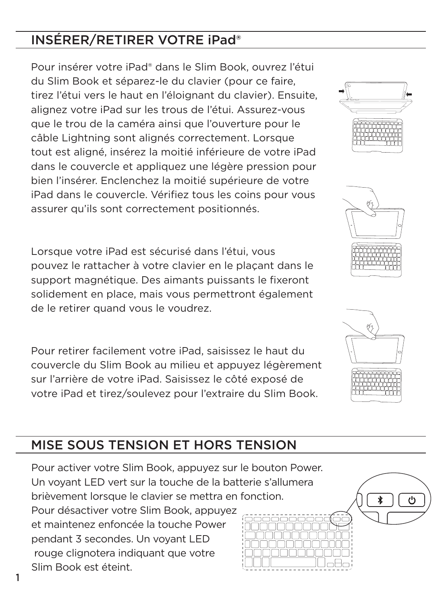## INSÉRER/RETIRER VOTRE iPad®

Pour insérer votre iPad® dans le Slim Book, ouvrez l'étui du Slim Book et séparez-le du clavier (pour ce faire, tirez l'étui vers le haut en l'éloignant du clavier). Ensuite, alignez votre iPad sur les trous de l'étui. Assurez-vous que le trou de la caméra ainsi que l'ouverture pour le câble Lightning sont alignés correctement. Lorsque tout est aligné, insérez la moitié inférieure de votre iPad dans le couvercle et appliquez une légère pression pour bien l'insérer. Enclenchez la moitié supérieure de votre iPad dans le couvercle. Vérifiez tous les coins pour vous assurer qu'ils sont correctement positionnés.

Lorsque votre iPad est sécurisé dans l'étui, vous pouvez le rattacher à votre clavier en le plaçant dans le support magnétique. Des aimants puissants le fixeront solidement en place, mais vous permettront également de le retirer quand vous le voudrez.

Pour retirer facilement votre iPad, saisissez le haut du couvercle du Slim Book au milieu et appuyez légèrement sur l'arrière de votre iPad. Saisissez le côté exposé de votre iPad et tirez/soulevez pour l'extraire du Slim Book.







## MISE SOUS TENSION ET HORS TENSION

Pour activer votre Slim Book, appuyez sur le bouton Power. Un voyant LED vert sur la touche de la batterie s'allumera brièvement lorsque le clavier se mettra en fonction. Pour désactiver votre Slim Book, appuyez et maintenez enfoncée la touche Power pendant 3 secondes. Un voyant LED rouge clignotera indiquant que votre Slim Book est éteint.



1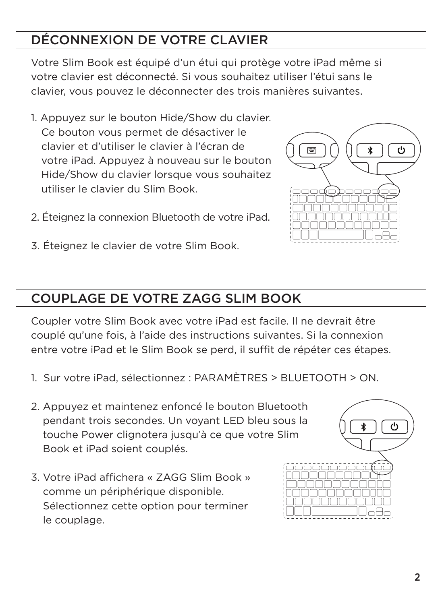2

## DÉCONNEXION DE VOTRE CLAVIER

Votre Slim Book est équipé d'un étui qui protège votre iPad même si votre clavier est déconnecté. Si vous souhaitez utiliser l'étui sans le clavier, vous pouvez le déconnecter des trois manières suivantes.

- 1. Appuyez sur le bouton Hide/Show du clavier. Ce bouton vous permet de désactiver le clavier et d'utiliser le clavier à l'écran de votre iPad. Appuyez à nouveau sur le bouton Hide/Show du clavier lorsque vous souhaitez utiliser le clavier du Slim Book.
- 2. Éteignez la connexion Bluetooth de votre iPad.
- 3. Éteignez le clavier de votre Slim Book.

#### COUPLAGE DE VOTRE ZAGG SLIM BOOK

Coupler votre Slim Book avec votre iPad est facile. Il ne devrait être couplé qu'une fois, à l'aide des instructions suivantes. Si la connexion entre votre iPad et le Slim Book se perd, il suffit de répéter ces étapes.

- 1. Sur votre iPad, sélectionnez : PARAMÈTRES > BLUETOOTH > ON.
- 2. Appuyez et maintenez enfoncé le bouton Bluetooth pendant trois secondes. Un voyant LED bleu sous la touche Power clignotera jusqu'à ce que votre Slim Book et iPad soient couplés.
- 3. Votre iPad affichera « ZAGG Slim Book » comme un périphérique disponible. Sélectionnez cette option pour terminer le couplage.

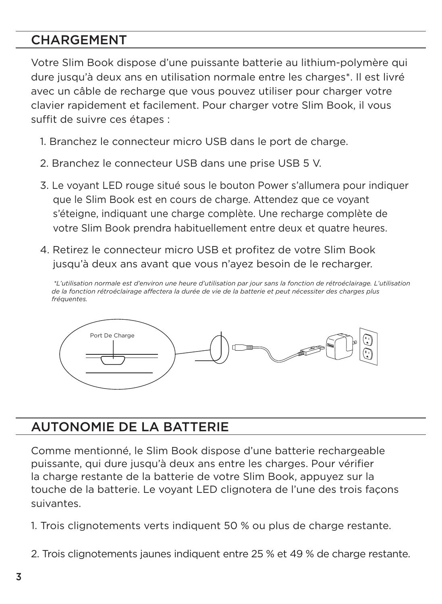#### CHARGEMENT

Votre Slim Book dispose d'une puissante batterie au lithium-polymère qui dure jusqu'à deux ans en utilisation normale entre les charges\*. Il est livré avec un câble de recharge que vous pouvez utiliser pour charger votre clavier rapidement et facilement. Pour charger votre Slim Book, il vous suffit de suivre ces étapes :

- 1. Branchez le connecteur micro USB dans le port de charge. Ĵ
- 2. Branchez le connecteur USB dans une prise USB 5 V. Ī
- 3. Le voyant LED rouge situé sous le bouton Power s'allumera pour indiquer que le Slim Book est en cours de charge. Attendez que ce voyant s'éteigne, indiquant une charge complète. Une recharge complète de votre Slim Book prendra habituellement entre deux et quatre heures.
- 4. Retirez le connecteur micro USB et profitez de votre Slim Book jusqu'à deux ans avant que vous n'ayez besoin de le recharger.

 *\*L'utilisation normale est d'environ une heure d'utilisation par jour sans la fonction de rétroéclairage. L'utilisation de la fonction rétroéclairage affectera la durée de vie de la batterie et peut nécessiter des charges plus fréquentes.*



#### AUTONOMIE DE LA BATTERIE

Comme mentionné, le Slim Book dispose d'une batterie rechargeable puissante, qui dure jusqu'à deux ans entre les charges. Pour vérifier la charge restante de la batterie de votre Slim Book, appuyez sur la touche de la batterie. Le voyant LED clignotera de l'une des trois façons suivantes.

- 1. Trois clignotements verts indiquent 50 % ou plus de charge restante.
- 2. Trois clignotements jaunes indiquent entre 25 % et 49 % de charge restante.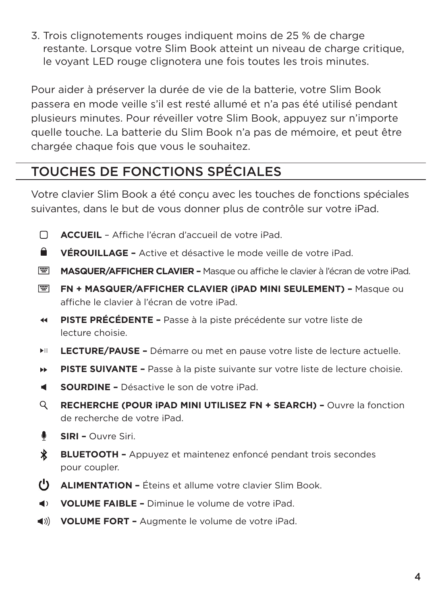3. Trois clignotements rouges indiquent moins de 25 % de charge restante. Lorsque votre Slim Book atteint un niveau de charge critique, le voyant LED rouge clignotera une fois toutes les trois minutes.

Pour aider à préserver la durée de vie de la batterie, votre Slim Book passera en mode veille s'il est resté allumé et n'a pas été utilisé pendant plusieurs minutes. Pour réveiller votre Slim Book, appuyez sur n'importe quelle touche. La batterie du Slim Book n'a pas de mémoire, et peut être chargée chaque fois que vous le souhaitez.

#### TOUCHES DE FONCTIONS SPÉCIALES

Votre clavier Slim Book a été conçu avec les touches de fonctions spéciales suivantes, dans le but de vous donner plus de contrôle sur votre iPad.

- n. **ACCUEIL** – Affiche l'écran d'accueil de votre iPad.
- Α. **VÉROUILLAGE –** Active et désactive le mode veille de votre iPad.
- **MASQUER/AFFICHER CLAVIER** Masque ou affiche le clavier à l'écran de votre iPad. **Section**
- 冒 **FN + MASQUER/AFFICHER CLAVIER (iPAD MINI SEULEMENT) –** Masque ou affiche le clavier à l'écran de votre iPad.
- **PISTE PRÉCÉDENTE** Passe à la piste précédente sur votre liste de  $\blacktriangleleft$ lecture choisie.
- **LECTURE/PAUSE** Démarre ou met en pause votre liste de lecture actuelle. ы.
- ы. **PISTE SUIVANTE –** Passe à la piste suivante sur votre liste de lecture choisie.
- **SOURDINE** Désactive le son de votre iPad.  $\blacktriangleleft$
- Q **RECHERCHE (POUR iPAD MINI UTILISEZ FN + SEARCH) –** Ouvre la fonction de recherche de votre iPad.
- 0 **SIRI –** Ouvre Siri.
- $\ast$ **BLUETOOTH –** Appuyez et maintenez enfoncé pendant trois secondes pour coupler.
- **ALIMENTATION** Éteins et allume votre clavier Slim Book.
- $\blacksquare$ **VOLUME FAIBLE –** Diminue le volume de votre iPad.
- $\langle \langle \rangle \rangle$ **VOLUME FORT –** Augmente le volume de votre iPad.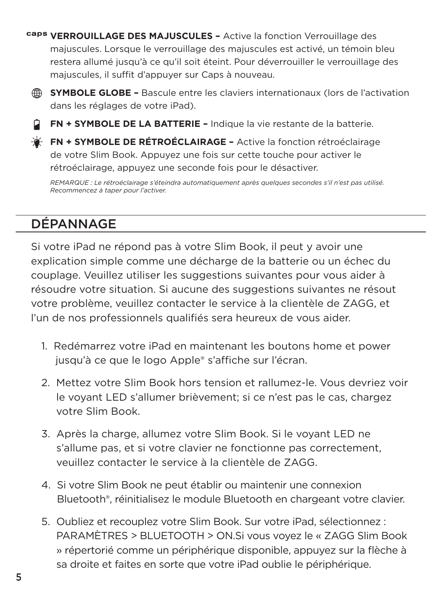**VERROUILLAGE DES MAJUSCULES –** Active la fonction Verrouillage des majuscules. Lorsque le verrouillage des majuscules est activé, un témoin bleu restera allumé jusqu'à ce qu'il soit éteint. Pour déverrouiller le verrouillage des majuscules, il suffit d'appuyer sur Caps à nouveau.



- **FN + SYMBOLE DE LA BATTERIE** Indique la vie restante de la batterie.
- **FIM + SYMBOLE DE RÉTROÉCLAIRAGE –** Active la fonction rétroéclairage de votre Slim Book. Appuyez une fois sur cette touche pour activer le rétroéclairage, appuyez une seconde fois pour le désactiver.

*REMARQUE : Le rétroéclairage s'éteindra automatiquement après quelques secondes s'il n'est pas utilisé. Recommencez à taper pour l'activer.*

#### DÉPANNAGE

Si votre iPad ne répond pas à votre Slim Book, il peut y avoir une explication simple comme une décharge de la batterie ou un échec du couplage. Veuillez utiliser les suggestions suivantes pour vous aider à résoudre votre situation. Si aucune des suggestions suivantes ne résout votre problème, veuillez contacter le service à la clientèle de ZAGG, et l'un de nos professionnels qualifiés sera heureux de vous aider.

- 1. Redémarrez votre iPad en maintenant les boutons home et power jusqu'à ce que le logo Apple® s'affiche sur l'écran.
- 2. Mettez votre Slim Book hors tension et rallumez-le. Vous devriez voir le voyant LED s'allumer brièvement; si ce n'est pas le cas, chargez votre Slim Book.
- 3. Après la charge, allumez votre Slim Book. Si le voyant LED ne s'allume pas, et si votre clavier ne fonctionne pas correctement, veuillez contacter le service à la clientèle de ZAGG.
- 4. Si votre Slim Book ne peut établir ou maintenir une connexion Bluetooth®, réinitialisez le module Bluetooth en chargeant votre clavier.
- 5. Oubliez et recouplez votre Slim Book. Sur votre iPad, sélectionnez : PARAMÈTRES > BLUETOOTH > ON.Si vous voyez le « ZAGG Slim Book » répertorié comme un périphérique disponible, appuyez sur la flèche à sa droite et faites en sorte que votre iPad oublie le périphérique.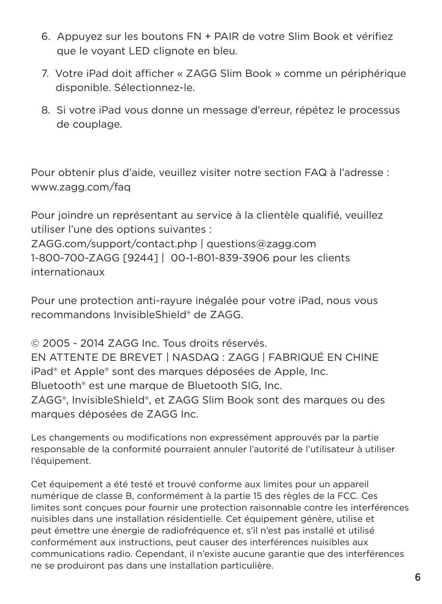- 6. Appuyez sur les boutons FN + PAIR de votre Slim Book et vérifiez que le voyant LED clignote en bleu.
- 7. Votre iPad doit afficher « ZAGG Slim Book » comme un périphérique disponible. Sélectionnez-le.
- 8. Si votre iPad vous donne un message d'erreur, répétez le processus de couplage.

Pour obtenir plus d'aide, veuillez visiter notre section FAQ à l'adresse : www.zagg.com/faq

Pour joindre un représentant au service à la clientèle qualifié, veuillez utiliser l'une des options suivantes :

ZAGG.com/support/contact.php | questions@zagg.com 1-800-700-ZAGG [9244] | 00-1-801-839-3906 pour les clients internationaux

Pour une protection anti-rayure inégalée pour votre iPad, nous vous recommandons InvisibleShield® de ZAGG.

© 2005 - 2014 ZAGG Inc. Tous droits réservés. EN ATTENTE DE BREVET | NASDAQ : ZAGG | FABRIQUÉ EN CHINE iPad® et Apple® sont des marques déposées de Apple, Inc. Bluetooth® est une marque de Bluetooth SIG, Inc. ZAGG®, InvisibleShield®, et ZAGG Slim Book sont des marques ou des marques déposées de ZAGG Inc.

Les changements ou modifications non expressément approuvés par la partie responsable de la conformité pourraient annuler l'autorité de l'utilisateur à utiliser l'équipement.

Cet équipement a été testé et trouvé conforme aux limites pour un appareil numérique de classe B, conformément à la partie 15 des règles de la FCC. Ces limites sont conçues pour fournir une protection raisonnable contre les interférences nuisibles dans une installation résidentielle. Cet équipement génère, utilise et peut émettre une énergie de radiofréquence et, s'il n'est pas installé et utilisé conformément aux instructions, peut causer des interférences nuisibles aux communications radio. Cependant, il n'existe aucune garantie que des interférences ne se produiront pas dans une installation particulière.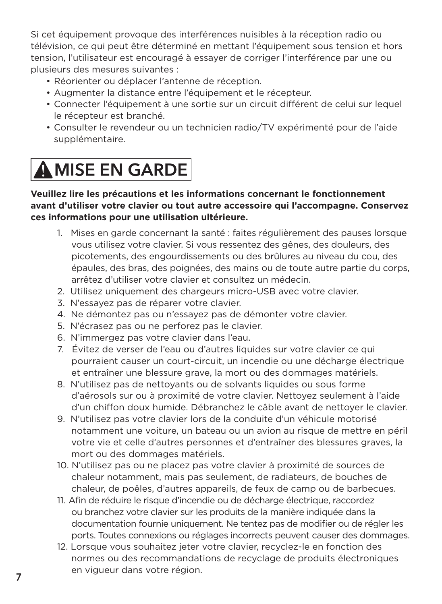Si cet équipement provoque des interférences nuisibles à la réception radio ou télévision, ce qui peut être déterminé en mettant l'équipement sous tension et hors tension, l'utilisateur est encouragé à essayer de corriger l'interférence par une ou plusieurs des mesures suivantes :

- Réorienter ou déplacer l'antenne de réception.
- Augmenter la distance entre l'équipement et le récepteur.
- Connecter l'équipement à une sortie sur un circuit différent de celui sur lequel le récepteur est branché.
- Consulter le revendeur ou un technicien radio/TV expérimenté pour de l'aide supplémentaire.

# A MISE EN GARDE

#### **Veuillez lire les précautions et les informations concernant le fonctionnement avant d'utiliser votre clavier ou tout autre accessoire qui l'accompagne. Conservez ces informations pour une utilisation ultérieure.**

- 1. Mises en garde concernant la santé : faites régulièrement des pauses lorsque vous utilisez votre clavier. Si vous ressentez des gênes, des douleurs, des picotements, des engourdissements ou des brûlures au niveau du cou, des épaules, des bras, des poignées, des mains ou de toute autre partie du corps, arrêtez d'utiliser votre clavier et consultez un médecin.
- 2. Utilisez uniquement des chargeurs micro-USB avec votre clavier.
- 3. N'essayez pas de réparer votre clavier.
- 4. Ne démontez pas ou n'essayez pas de démonter votre clavier.
- 5. N'écrasez pas ou ne perforez pas le clavier.
- 6. N'immergez pas votre clavier dans l'eau.
- 7. Évitez de verser de l'eau ou d'autres liquides sur votre clavier ce qui pourraient causer un court-circuit, un incendie ou une décharge électrique et entraîner une blessure grave, la mort ou des dommages matériels.
- 8. N'utilisez pas de nettoyants ou de solvants liquides ou sous forme d'aérosols sur ou à proximité de votre clavier. Nettoyez seulement à l'aide d'un chiffon doux humide. Débranchez le câble avant de nettoyer le clavier.
- 9. N'utilisez pas votre clavier lors de la conduite d'un véhicule motorisé notamment une voiture, un bateau ou un avion au risque de mettre en péril votre vie et celle d'autres personnes et d'entraîner des blessures graves, la mort ou des dommages matériels.
- 10. N'utilisez pas ou ne placez pas votre clavier à proximité de sources de chaleur notamment, mais pas seulement, de radiateurs, de bouches de chaleur, de poêles, d'autres appareils, de feux de camp ou de barbecues.
- 11. Afin de réduire le risque d'incendie ou de décharge électrique, raccordez ou branchez votre clavier sur les produits de la manière indiquée dans la documentation fournie uniquement. Ne tentez pas de modifier ou de régler les ports. Toutes connexions ou réglages incorrects peuvent causer des dommages.
- 12. Lorsque vous souhaitez jeter votre clavier, recyclez-le en fonction des normes ou des recommandations de recyclage de produits électroniques en vigueur dans votre région.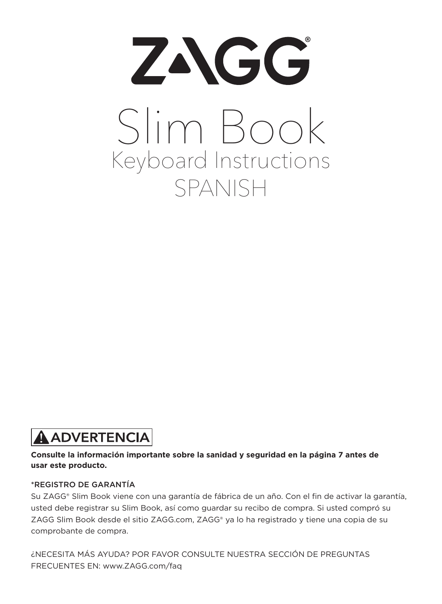

## **A ADVERTENCIA**

#### **Consulte la información importante sobre la sanidad y seguridad en la página 7 antes de usar este producto.**

#### \*REGISTRO DE GARANTÍA

Su ZAGG® Slim Book viene con una garantía de fábrica de un año. Con el fin de activar la garantía, usted debe registrar su Slim Book, así como guardar su recibo de compra. Si usted compró su ZAGG Slim Book desde el sitio ZAGG.com, ZAGG® ya lo ha registrado y tiene una copia de su comprobante de compra.

¿NECESITA MÁS AYUDA? POR FAVOR CONSULTE NUESTRA SECCIÓN DE PREGUNTAS FRECUENTES EN: www.ZAGG.com/faq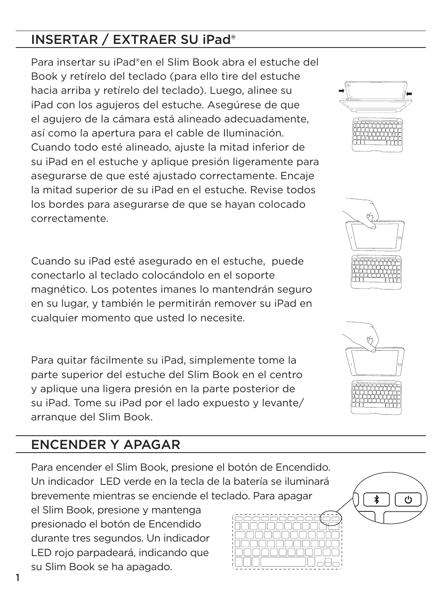## INSERTAR / EXTRAER SU iPad®

Para insertar su iPad®en el Slim Book abra el estuche del Book y retírelo del teclado (para ello tire del estuche hacia arriba y retírelo del teclado). Luego, alinee su iPad con los agujeros del estuche. Asegúrese de que el agujero de la cámara está alineado adecuadamente, así como la apertura para el cable de Iluminación. Cuando todo esté alineado, ajuste la mitad inferior de su iPad en el estuche y aplique presión ligeramente para asegurarse de que esté ajustado correctamente. Encaje la mitad superior de su iPad en el estuche. Revise todos los bordes para asegurarse de que se hayan colocado correctamente.

Cuando su iPad esté asegurado en el estuche, puede conectarlo al teclado colocándolo en el soporte magnético. Los potentes imanes lo mantendrán seguro en su lugar, y también le permitirán remover su iPad en cualquier momento que usted lo necesite.

Para quitar fácilmente su iPad, simplemente tome la parte superior del estuche del Slim Book en el centro y aplique una ligera presión en la parte posterior de su iPad. Tome su iPad por el lado expuesto y levante/ arranque del Slim Book.

#### ENCENDER Y APAGAR

Para encender el Slim Book, presione el botón de Encendido. Un indicador LED verde en la tecla de la batería se iluminará brevemente mientras se enciende el teclado. Para apagar

el Slim Book, presione y mantenga presionado el botón de Encendido durante tres segundos. Un indicador LED rojo parpadeará, indicando que su Slim Book se ha apagado.









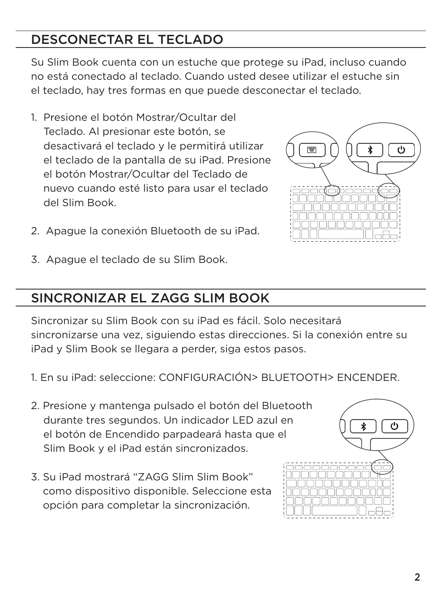#### DESCONECTAR EL TECLADO

Su Slim Book cuenta con un estuche que protege su iPad, incluso cuando no está conectado al teclado. Cuando usted desee utilizar el estuche sin el teclado, hay tres formas en que puede desconectar el teclado.

- 1. Presione el botón Mostrar/Ocultar del Teclado. Al presionar este botón, se desactivará el teclado y le permitirá utilizar el teclado de la pantalla de su iPad. Presione el botón Mostrar/Ocultar del Teclado de nuevo cuando esté listo para usar el teclado del Slim Book.
- 2. Apague la conexión Bluetooth de su iPad.
- 3. Apague el teclado de su Slim Book.

#### SINCRONIZAR EL ZAGG SLIM BOOK

Sincronizar su Slim Book con su iPad es fácil. Solo necesitará sincronizarse una vez, siguiendo estas direcciones. Si la conexión entre su iPad y Slim Book se llegara a perder, siga estos pasos.

- 1. En su iPad: seleccione: CONFIGURACIÓN> BLUETOOTH> ENCENDER.
- 2. Presione y mantenga pulsado el botón del Bluetooth durante tres segundos. Un indicador LED azul en el botón de Encendido parpadeará hasta que el Slim Book y el iPad están sincronizados.
- 3. Su iPad mostrará "ZAGG Slim Slim Book" como dispositivo disponible. Seleccione esta opción para completar la sincronización.



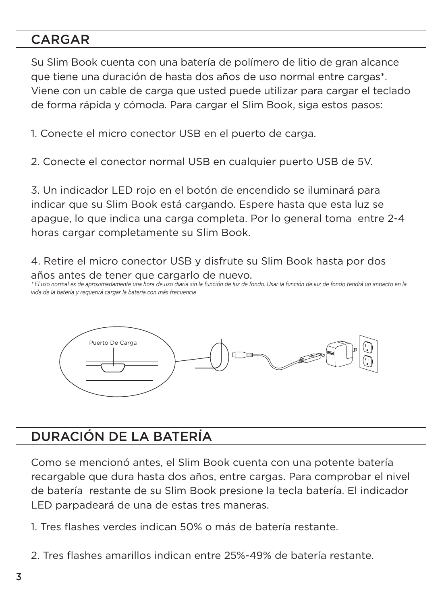#### CARGAR

Su Slim Book cuenta con una batería de polímero de litio de gran alcance que tiene una duración de hasta dos años de uso normal entre cargas\*. Viene con un cable de carga que usted puede utilizar para cargar el teclado de forma rápida y cómoda. Para cargar el Slim Book, siga estos pasos:

1. Conecte el micro conector USB en el puerto de carga.

2. Conecte el conector normal USB en cualquier puerto USB de 5V.

3. Un indicador LED rojo en el botón de encendido se iluminará para indicar que su Slim Book está cargando. Espere hasta que esta luz se apague, lo que indica una carga completa. Por lo general toma entre 2-4 horas cargar completamente su Slim Book.

4. Retire el micro conector USB y disfrute su Slim Book hasta por dos años antes de tener que cargarlo de nuevo.

*\* El uso normal es de aproximadamente una hora de uso diaria sin la función de luz de fondo. Usar la función de luz de fondo tendrá un impacto en la vida de la batería y requerirá cargar la batería con más frecuencia*



## DURACIÓN DE LA BATERÍA

Como se mencionó antes, el Slim Book cuenta con una potente batería recargable que dura hasta dos años, entre cargas. Para comprobar el nivel de batería restante de su Slim Book presione la tecla batería. El indicador LED parpadeará de una de estas tres maneras.

- 1. Tres flashes verdes indican 50% o más de batería restante.
- 2. Tres flashes amarillos indican entre 25%-49% de batería restante.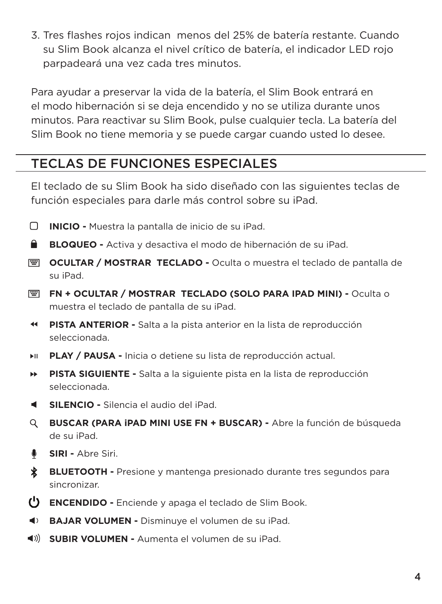3. Tres flashes rojos indican menos del 25% de batería restante. Cuando su Slim Book alcanza el nivel crítico de batería, el indicador LED rojo parpadeará una vez cada tres minutos.

Para ayudar a preservar la vida de la batería, el Slim Book entrará en el modo hibernación si se deja encendido y no se utiliza durante unos minutos. Para reactivar su Slim Book, pulse cualquier tecla. La batería del Slim Book no tiene memoria y se puede cargar cuando usted lo desee.

#### TECLAS DE FUNCIONES ESPECIALES

El teclado de su Slim Book ha sido diseñado con las siguientes teclas de función especiales para darle más control sobre su iPad.

- □ **INICIO -** Muestra la pantalla de inicio de su iPad.
- A ... **BLOQUEO -** Activa y desactiva el modo de hibernación de su iPad.
- **E OCULTAR / MOSTRAR TECLADO -** Oculta o muestra el teclado de pantalla de su iPad.
- **FN + OCULTAR / MOSTRAR TECLADO (SOLO PARA IPAD MINI)** Oculta o muestra el teclado de pantalla de su iPad.
- **PISTA ANTERIOR** Salta a la pista anterior en la lista de reproducción seleccionada.
- **PLAY / PAUSA** Inicia o detiene su lista de reproducción actual.
- **PISTA SIGUIENTE** Salta a la siguiente pista en la lista de reproducción bb. . seleccionada.
- **SILENCIO** Silencia el audio del iPad. ₫.
- $\mathsf Q$ **BUSCAR (PARA iPAD MINI USE FN + BUSCAR) -** Abre la función de búsqueda de su iPad.
- $\bullet$ **SIRI -** Abre Siri.
- $\ast$ **BLUETOOTH -** Presione y mantenga presionado durante tres segundos para sincronizar.
- **U ENCENDIDO -** Enciende y apaga el teclado de Slim Book.
- **BAJAR VOLUMEN** Disminuye el volumen de su iPad.  $\blacktriangleleft$
- **SUBIR VOLUMEN** Aumenta el volumen de su iPad.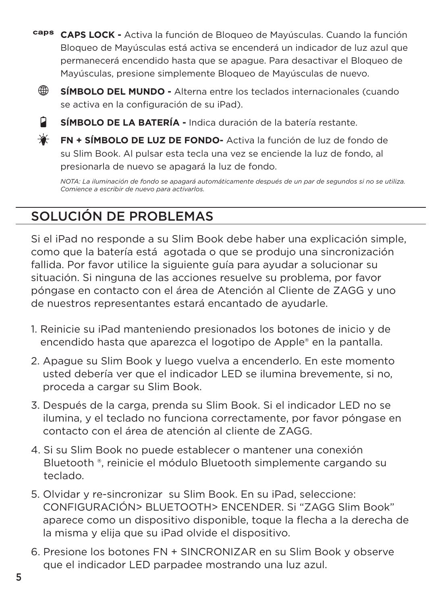**CAPS LOCK -** Activa la función de Bloqueo de Mayúsculas. Cuando la función Bloqueo de Mayúsculas está activa se encenderá un indicador de luz azul que permanecerá encendido hasta que se apague. Para desactivar el Bloqueo de Mayúsculas, presione simplemente Bloqueo de Mayúsculas de nuevo.



**SÍMBOLO DEL MUNDO -** Alterna entre los teclados internacionales (cuando se activa en la configuración de su iPad).



**SÍMBOLO DE LA BATERÍA -** Indica duración de la batería restante.

**FN + SÍMBOLO DE LUZ DE FONDO-** Activa la función de luz de fondo de su Slim Book. Al pulsar esta tecla una vez se enciende la luz de fondo, al presionarla de nuevo se apagará la luz de fondo.

*NOTA: La iluminación de fondo se apagará automáticamente después de un par de segundos si no se utiliza. Comience a escribir de nuevo para activarlos.*

## SOLUCIÓN DE PROBLEMAS

Si el iPad no responde a su Slim Book debe haber una explicación simple, como que la batería está agotada o que se produjo una sincronización fallida. Por favor utilice la siguiente guía para ayudar a solucionar su situación. Si ninguna de las acciones resuelve su problema, por favor póngase en contacto con el área de Atención al Cliente de ZAGG y uno de nuestros representantes estará encantado de ayudarle.

- 1. Reinicie su iPad manteniendo presionados los botones de inicio y de encendido hasta que aparezca el logotipo de Apple® en la pantalla.
- 2. Apague su Slim Book y luego vuelva a encenderlo. En este momento usted debería ver que el indicador LED se ilumina brevemente, si no, proceda a cargar su Slim Book.
- 3. Después de la carga, prenda su Slim Book. Si el indicador LED no se ilumina, y el teclado no funciona correctamente, por favor póngase en contacto con el área de atención al cliente de ZAGG.
- 4. Si su Slim Book no puede establecer o mantener una conexión Bluetooth ®, reinicie el módulo Bluetooth simplemente cargando su teclado.
- 5. Olvidar y re-sincronizar su Slim Book. En su iPad, seleccione: CONFIGURACIÓN> BLUETOOTH> ENCENDER. Si "ZAGG Slim Book" aparece como un dispositivo disponible, toque la flecha a la derecha de la misma y elija que su iPad olvide el dispositivo.
- 6. Presione los botones FN + SINCRONIZAR en su Slim Book y observe que el indicador LED parpadee mostrando una luz azul.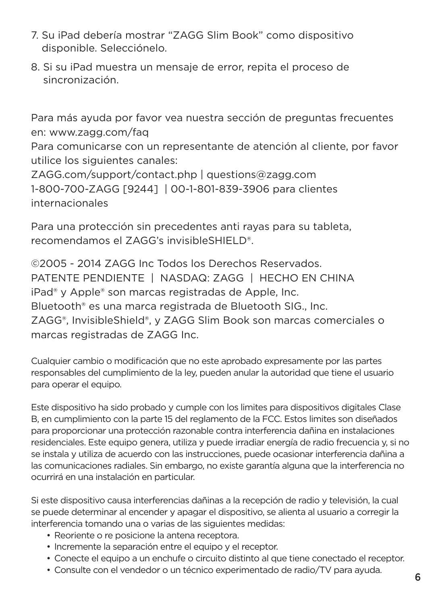- 7. Su iPad debería mostrar "ZAGG Slim Book" como dispositivo disponible. Selecciónelo.
- 8. Si su iPad muestra un mensaje de error, repita el proceso de sincronización.

Para más ayuda por favor vea nuestra sección de preguntas frecuentes en: www.zagg.com/faq

Para comunicarse con un representante de atención al cliente, por favor utilice los siguientes canales:

ZAGG.com/support/contact.php | questions@zagg.com 1-800-700-ZAGG [9244] | 00-1-801-839-3906 para clientes internacionales

Para una protección sin precedentes anti rayas para su tableta, recomendamos el ZAGG's invisibleSHIELD®.

©2005 - 2014 ZAGG Inc Todos los Derechos Reservados. PATENTE PENDIENTE | NASDAQ: ZAGG | HECHO EN CHINA iPad® y Apple® son marcas registradas de Apple, Inc. Bluetooth® es una marca registrada de Bluetooth SIG., Inc. ZAGG®, InvisibleShield®, y ZAGG Slim Book son marcas comerciales o marcas registradas de ZAGG Inc.

Cualquier cambio o modificación que no este aprobado expresamente por las partes responsables del cumplimiento de la ley, pueden anular la autoridad que tiene el usuario para operar el equipo.

Este dispositivo ha sido probado y cumple con los limites para dispositivos digitales Clase B, en cumplimiento con la parte 15 del reglamento de la FCC. Estos limites son diseñados para proporcionar una protección razonable contra interferencia dañina en instalaciones residenciales. Este equipo genera, utiliza y puede irradiar energía de radio frecuencia y, si no se instala y utiliza de acuerdo con las instrucciones, puede ocasionar interferencia dañina a las comunicaciones radiales. Sin embargo, no existe garantía alguna que la interferencia no ocurrirá en una instalación en particular.

Si este dispositivo causa interferencias dañinas a la recepción de radio y televisión, la cual se puede determinar al encender y apagar el dispositivo, se alienta al usuario a corregir la interferencia tomando una o varias de las siguientes medidas:

- Reoriente o re posicione la antena receptora.
- Incremente la separación entre el equipo y el receptor.
- Conecte el equipo a un enchufe o circuito distinto al que tiene conectado el receptor.
- Consulte con el vendedor o un técnico experimentado de radio/TV para ayuda.